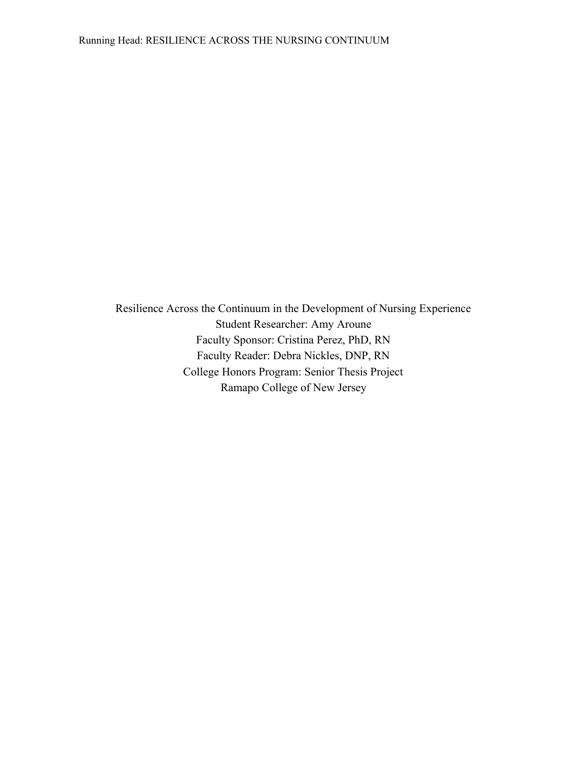Resilience Across the Continuum in the Development of Nursing Experience Student Researcher: Amy Aroune Faculty Sponsor: Cristina Perez, PhD, RN Faculty Reader: Debra Nickles, DNP, RN College Honors Program: Senior Thesis Project Ramapo College of New Jersey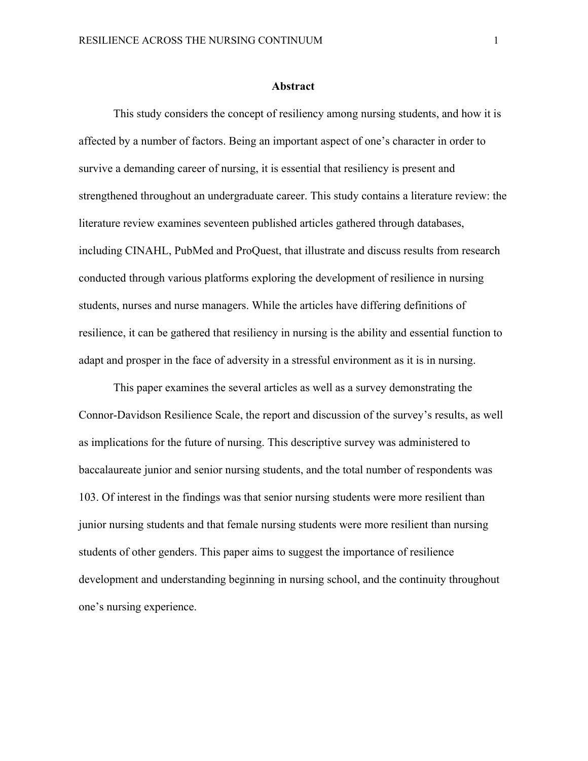#### **Abstract**

This study considers the concept of resiliency among nursing students, and how it is affected by a number of factors. Being an important aspect of one's character in order to survive a demanding career of nursing, it is essential that resiliency is present and strengthened throughout an undergraduate career. This study contains a literature review: the literature review examines seventeen published articles gathered through databases, including CINAHL, PubMed and ProQuest, that illustrate and discuss results from research conducted through various platforms exploring the development of resilience in nursing students, nurses and nurse managers. While the articles have differing definitions of resilience, it can be gathered that resiliency in nursing is the ability and essential function to adapt and prosper in the face of adversity in a stressful environment as it is in nursing.

This paper examines the several articles as well as a survey demonstrating the Connor-Davidson Resilience Scale, the report and discussion of the survey's results, as well as implications for the future of nursing. This descriptive survey was administered to baccalaureate junior and senior nursing students, and the total number of respondents was 103. Of interest in the findings was that senior nursing students were more resilient than junior nursing students and that female nursing students were more resilient than nursing students of other genders. This paper aims to suggest the importance of resilience development and understanding beginning in nursing school, and the continuity throughout one's nursing experience.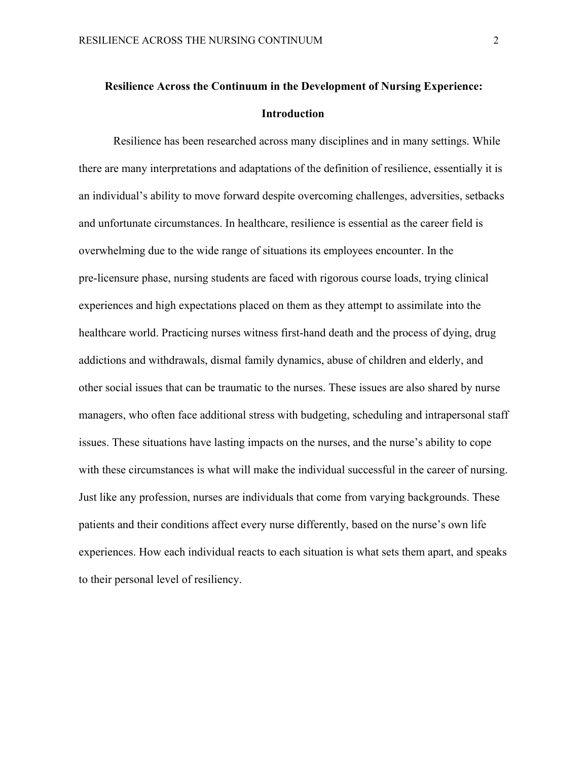# **Resilience Across the Continuum in the Development of Nursing Experience: Introduction**

Resilience has been researched across many disciplines and in many settings. While there are many interpretations and adaptations of the definition of resilience, essentially it is an individual's ability to move forward despite overcoming challenges, adversities, setbacks and unfortunate circumstances. In healthcare, resilience is essential as the career field is overwhelming due to the wide range of situations its employees encounter. In the pre-licensure phase, nursing students are faced with rigorous course loads, trying clinical experiences and high expectations placed on them as they attempt to assimilate into the healthcare world. Practicing nurses witness first-hand death and the process of dying, drug addictions and withdrawals, dismal family dynamics, abuse of children and elderly, and other social issues that can be traumatic to the nurses. These issues are also shared by nurse managers, who often face additional stress with budgeting, scheduling and intrapersonal staff issues. These situations have lasting impacts on the nurses, and the nurse's ability to cope with these circumstances is what will make the individual successful in the career of nursing. Just like any profession, nurses are individuals that come from varying backgrounds. These patients and their conditions affect every nurse differently, based on the nurse's own life experiences. How each individual reacts to each situation is what sets them apart, and speaks to their personal level of resiliency.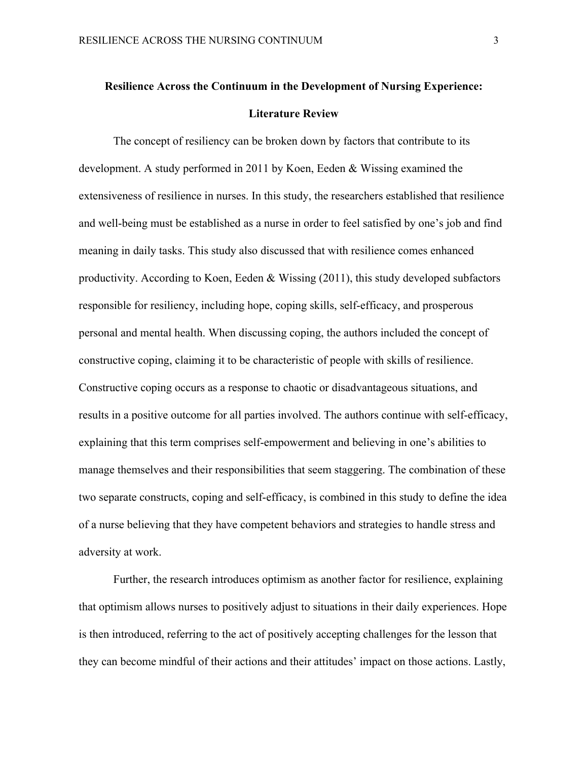# **Resilience Across the Continuum in the Development of Nursing Experience: Literature Review**

The concept of resiliency can be broken down by factors that contribute to its development. A study performed in 2011 by Koen, Eeden & Wissing examined the extensiveness of resilience in nurses. In this study, the researchers established that resilience and well-being must be established as a nurse in order to feel satisfied by one's job and find meaning in daily tasks. This study also discussed that with resilience comes enhanced productivity. According to Koen, Eeden  $\&$  Wissing (2011), this study developed subfactors responsible for resiliency, including hope, coping skills, self-efficacy, and prosperous personal and mental health. When discussing coping, the authors included the concept of constructive coping, claiming it to be characteristic of people with skills of resilience. Constructive coping occurs as a response to chaotic or disadvantageous situations, and results in a positive outcome for all parties involved. The authors continue with self-efficacy, explaining that this term comprises self-empowerment and believing in one's abilities to manage themselves and their responsibilities that seem staggering. The combination of these two separate constructs, coping and self-efficacy, is combined in this study to define the idea of a nurse believing that they have competent behaviors and strategies to handle stress and adversity at work.

Further, the research introduces optimism as another factor for resilience, explaining that optimism allows nurses to positively adjust to situations in their daily experiences. Hope is then introduced, referring to the act of positively accepting challenges for the lesson that they can become mindful of their actions and their attitudes' impact on those actions. Lastly,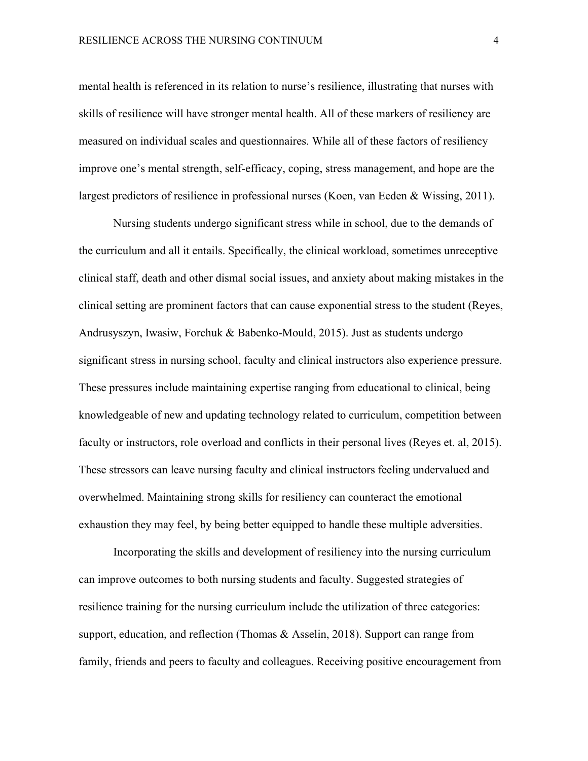mental health is referenced in its relation to nurse's resilience, illustrating that nurses with skills of resilience will have stronger mental health. All of these markers of resiliency are measured on individual scales and questionnaires. While all of these factors of resiliency improve one's mental strength, self-efficacy, coping, stress management, and hope are the largest predictors of resilience in professional nurses (Koen, van Eeden & Wissing, 2011).

Nursing students undergo significant stress while in school, due to the demands of the curriculum and all it entails. Specifically, the clinical workload, sometimes unreceptive clinical staff, death and other dismal social issues, and anxiety about making mistakes in the clinical setting are prominent factors that can cause exponential stress to the student (Reyes, Andrusyszyn, Iwasiw, Forchuk & Babenko-Mould, 2015). Just as students undergo significant stress in nursing school, faculty and clinical instructors also experience pressure. These pressures include maintaining expertise ranging from educational to clinical, being knowledgeable of new and updating technology related to curriculum, competition between faculty or instructors, role overload and conflicts in their personal lives (Reyes et. al, 2015). These stressors can leave nursing faculty and clinical instructors feeling undervalued and overwhelmed. Maintaining strong skills for resiliency can counteract the emotional exhaustion they may feel, by being better equipped to handle these multiple adversities.

Incorporating the skills and development of resiliency into the nursing curriculum can improve outcomes to both nursing students and faculty. Suggested strategies of resilience training for the nursing curriculum include the utilization of three categories: support, education, and reflection (Thomas & Asselin, 2018). Support can range from family, friends and peers to faculty and colleagues. Receiving positive encouragement from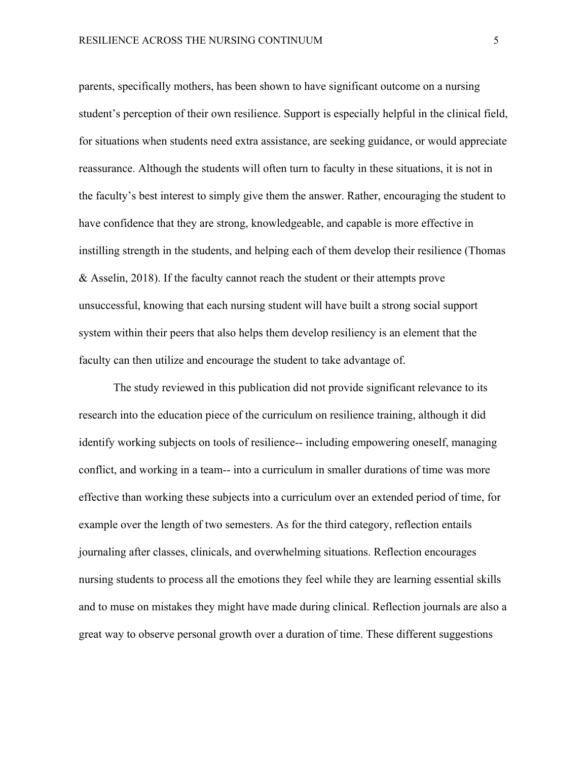parents, specifically mothers, has been shown to have significant outcome on a nursing student's perception of their own resilience. Support is especially helpful in the clinical field, for situations when students need extra assistance, are seeking guidance, or would appreciate reassurance. Although the students will often turn to faculty in these situations, it is not in the faculty's best interest to simply give them the answer. Rather, encouraging the student to have confidence that they are strong, knowledgeable, and capable is more effective in instilling strength in the students, and helping each of them develop their resilience (Thomas & Asselin, 2018). If the faculty cannot reach the student or their attempts prove unsuccessful, knowing that each nursing student will have built a strong social support system within their peers that also helps them develop resiliency is an element that the faculty can then utilize and encourage the student to take advantage of.

The study reviewed in this publication did not provide significant relevance to its research into the education piece of the curriculum on resilience training, although it did identify working subjects on tools of resilience-- including empowering oneself, managing conflict, and working in a team-- into a curriculum in smaller durations of time was more effective than working these subjects into a curriculum over an extended period of time, for example over the length of two semesters. As for the third category, reflection entails journaling after classes, clinicals, and overwhelming situations. Reflection encourages nursing students to process all the emotions they feel while they are learning essential skills and to muse on mistakes they might have made during clinical. Reflection journals are also a great way to observe personal growth over a duration of time. These different suggestions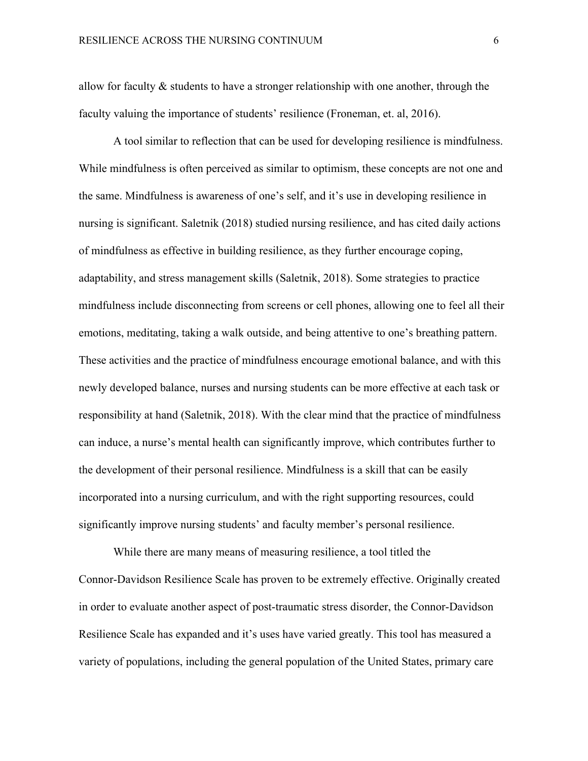allow for faculty & students to have a stronger relationship with one another, through the faculty valuing the importance of students' resilience (Froneman, et. al, 2016).

A tool similar to reflection that can be used for developing resilience is mindfulness. While mindfulness is often perceived as similar to optimism, these concepts are not one and the same. Mindfulness is awareness of one's self, and it's use in developing resilience in nursing is significant. Saletnik (2018) studied nursing resilience, and has cited daily actions of mindfulness as effective in building resilience, as they further encourage coping, adaptability, and stress management skills (Saletnik, 2018). Some strategies to practice mindfulness include disconnecting from screens or cell phones, allowing one to feel all their emotions, meditating, taking a walk outside, and being attentive to one's breathing pattern. These activities and the practice of mindfulness encourage emotional balance, and with this newly developed balance, nurses and nursing students can be more effective at each task or responsibility at hand (Saletnik, 2018). With the clear mind that the practice of mindfulness can induce, a nurse's mental health can significantly improve, which contributes further to the development of their personal resilience. Mindfulness is a skill that can be easily incorporated into a nursing curriculum, and with the right supporting resources, could significantly improve nursing students' and faculty member's personal resilience.

While there are many means of measuring resilience, a tool titled the Connor-Davidson Resilience Scale has proven to be extremely effective. Originally created in order to evaluate another aspect of post-traumatic stress disorder, the Connor-Davidson Resilience Scale has expanded and it's uses have varied greatly. This tool has measured a variety of populations, including the general population of the United States, primary care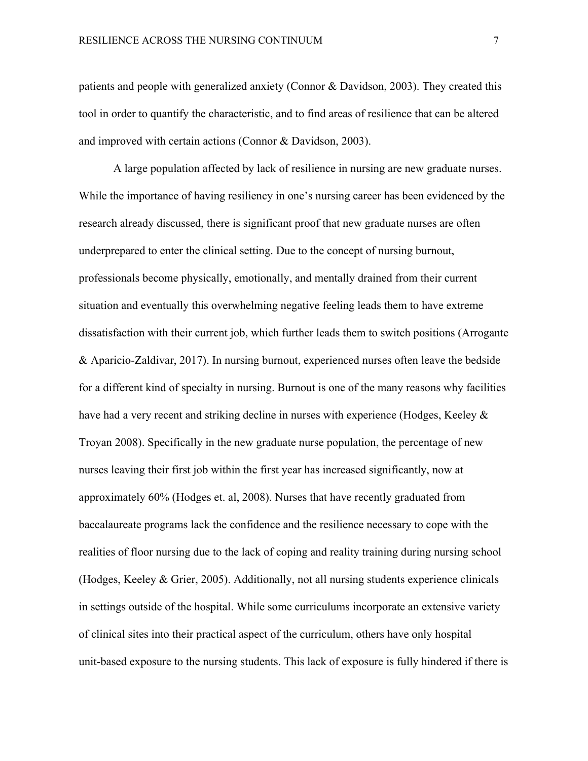patients and people with generalized anxiety (Connor & Davidson, 2003). They created this tool in order to quantify the characteristic, and to find areas of resilience that can be altered and improved with certain actions (Connor & Davidson, 2003).

A large population affected by lack of resilience in nursing are new graduate nurses. While the importance of having resiliency in one's nursing career has been evidenced by the research already discussed, there is significant proof that new graduate nurses are often underprepared to enter the clinical setting. Due to the concept of nursing burnout, professionals become physically, emotionally, and mentally drained from their current situation and eventually this overwhelming negative feeling leads them to have extreme dissatisfaction with their current job, which further leads them to switch positions (Arrogante & Aparicio-Zaldivar, 2017). In nursing burnout, experienced nurses often leave the bedside for a different kind of specialty in nursing. Burnout is one of the many reasons why facilities have had a very recent and striking decline in nurses with experience (Hodges, Keeley & Troyan 2008). Specifically in the new graduate nurse population, the percentage of new nurses leaving their first job within the first year has increased significantly, now at approximately 60% (Hodges et. al, 2008). Nurses that have recently graduated from baccalaureate programs lack the confidence and the resilience necessary to cope with the realities of floor nursing due to the lack of coping and reality training during nursing school (Hodges, Keeley & Grier, 2005). Additionally, not all nursing students experience clinicals in settings outside of the hospital. While some curriculums incorporate an extensive variety of clinical sites into their practical aspect of the curriculum, others have only hospital unit-based exposure to the nursing students. This lack of exposure is fully hindered if there is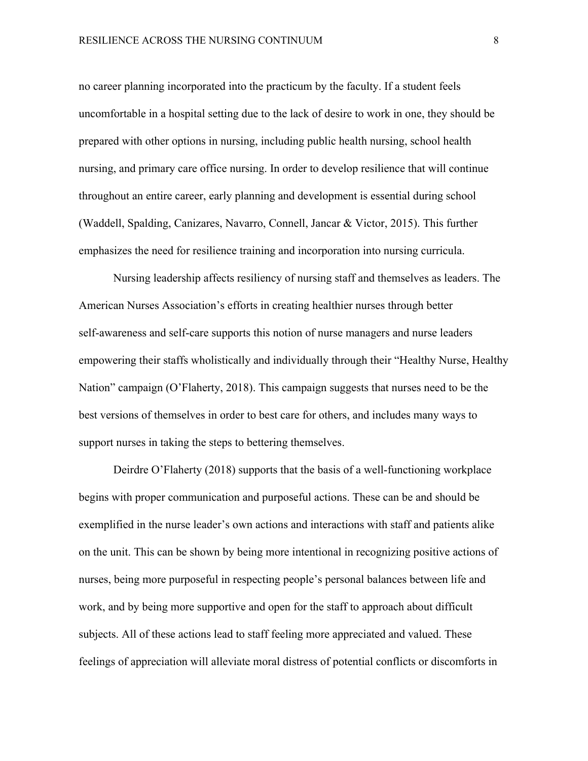no career planning incorporated into the practicum by the faculty. If a student feels uncomfortable in a hospital setting due to the lack of desire to work in one, they should be prepared with other options in nursing, including public health nursing, school health nursing, and primary care office nursing. In order to develop resilience that will continue throughout an entire career, early planning and development is essential during school (Waddell, Spalding, Canizares, Navarro, Connell, Jancar & Victor, 2015). This further emphasizes the need for resilience training and incorporation into nursing curricula.

Nursing leadership affects resiliency of nursing staff and themselves as leaders. The American Nurses Association's efforts in creating healthier nurses through better self-awareness and self-care supports this notion of nurse managers and nurse leaders empowering their staffs wholistically and individually through their "Healthy Nurse, Healthy Nation" campaign (O'Flaherty, 2018). This campaign suggests that nurses need to be the best versions of themselves in order to best care for others, and includes many ways to support nurses in taking the steps to bettering themselves.

Deirdre O'Flaherty (2018) supports that the basis of a well-functioning workplace begins with proper communication and purposeful actions. These can be and should be exemplified in the nurse leader's own actions and interactions with staff and patients alike on the unit. This can be shown by being more intentional in recognizing positive actions of nurses, being more purposeful in respecting people's personal balances between life and work, and by being more supportive and open for the staff to approach about difficult subjects. All of these actions lead to staff feeling more appreciated and valued. These feelings of appreciation will alleviate moral distress of potential conflicts or discomforts in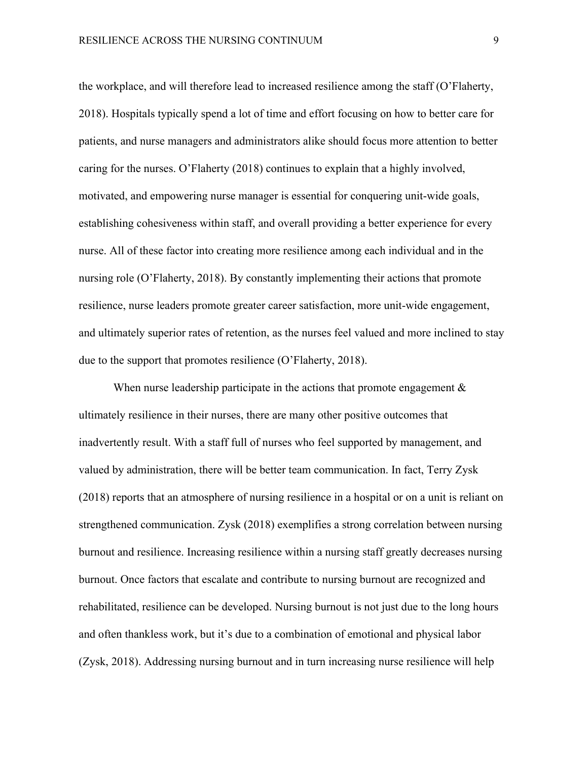the workplace, and will therefore lead to increased resilience among the staff (O'Flaherty, 2018). Hospitals typically spend a lot of time and effort focusing on how to better care for patients, and nurse managers and administrators alike should focus more attention to better caring for the nurses. O'Flaherty (2018) continues to explain that a highly involved, motivated, and empowering nurse manager is essential for conquering unit-wide goals, establishing cohesiveness within staff, and overall providing a better experience for every nurse. All of these factor into creating more resilience among each individual and in the nursing role (O'Flaherty, 2018). By constantly implementing their actions that promote resilience, nurse leaders promote greater career satisfaction, more unit-wide engagement, and ultimately superior rates of retention, as the nurses feel valued and more inclined to stay due to the support that promotes resilience (O'Flaherty, 2018).

When nurse leadership participate in the actions that promote engagement  $\&$ ultimately resilience in their nurses, there are many other positive outcomes that inadvertently result. With a staff full of nurses who feel supported by management, and valued by administration, there will be better team communication. In fact, Terry Zysk (2018) reports that an atmosphere of nursing resilience in a hospital or on a unit is reliant on strengthened communication. Zysk (2018) exemplifies a strong correlation between nursing burnout and resilience. Increasing resilience within a nursing staff greatly decreases nursing burnout. Once factors that escalate and contribute to nursing burnout are recognized and rehabilitated, resilience can be developed. Nursing burnout is not just due to the long hours and often thankless work, but it's due to a combination of emotional and physical labor (Zysk, 2018). Addressing nursing burnout and in turn increasing nurse resilience will help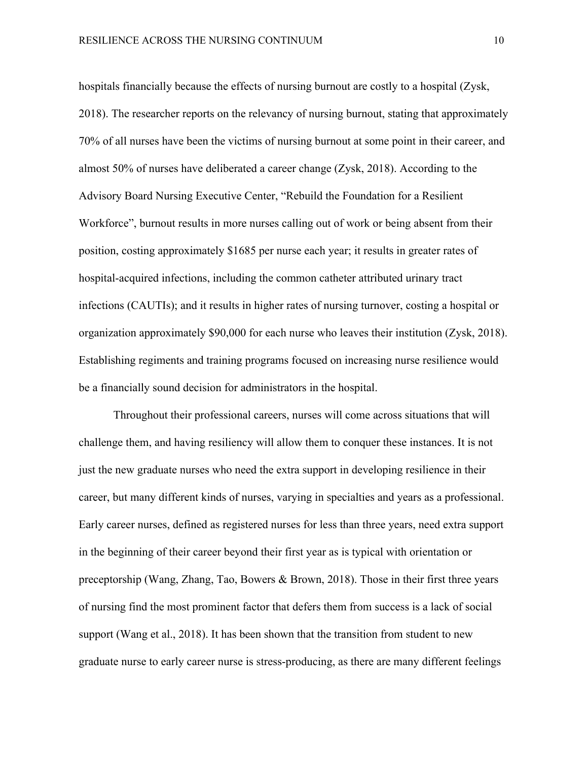hospitals financially because the effects of nursing burnout are costly to a hospital (Zysk, 2018). The researcher reports on the relevancy of nursing burnout, stating that approximately 70% of all nurses have been the victims of nursing burnout at some point in their career, and almost 50% of nurses have deliberated a career change (Zysk, 2018). According to the Advisory Board Nursing Executive Center, "Rebuild the Foundation for a Resilient Workforce", burnout results in more nurses calling out of work or being absent from their position, costing approximately \$1685 per nurse each year; it results in greater rates of hospital-acquired infections, including the common catheter attributed urinary tract infections (CAUTIs); and it results in higher rates of nursing turnover, costing a hospital or organization approximately \$90,000 for each nurse who leaves their institution (Zysk, 2018). Establishing regiments and training programs focused on increasing nurse resilience would be a financially sound decision for administrators in the hospital.

Throughout their professional careers, nurses will come across situations that will challenge them, and having resiliency will allow them to conquer these instances. It is not just the new graduate nurses who need the extra support in developing resilience in their career, but many different kinds of nurses, varying in specialties and years as a professional. Early career nurses, defined as registered nurses for less than three years, need extra support in the beginning of their career beyond their first year as is typical with orientation or preceptorship (Wang, Zhang, Tao, Bowers & Brown, 2018). Those in their first three years of nursing find the most prominent factor that defers them from success is a lack of social support (Wang et al., 2018). It has been shown that the transition from student to new graduate nurse to early career nurse is stress-producing, as there are many different feelings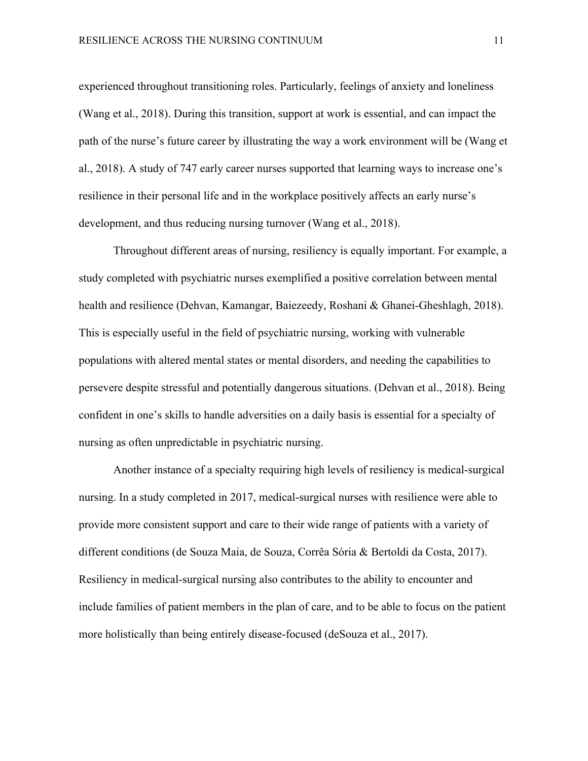experienced throughout transitioning roles. Particularly, feelings of anxiety and loneliness (Wang et al., 2018). During this transition, support at work is essential, and can impact the path of the nurse's future career by illustrating the way a work environment will be (Wang et al., 2018). A study of 747 early career nurses supported that learning ways to increase one's resilience in their personal life and in the workplace positively affects an early nurse's development, and thus reducing nursing turnover (Wang et al., 2018).

Throughout different areas of nursing, resiliency is equally important. For example, a study completed with psychiatric nurses exemplified a positive correlation between mental health and resilience (Dehvan, Kamangar, Baiezeedy, Roshani & Ghanei-Gheshlagh, 2018). This is especially useful in the field of psychiatric nursing, working with vulnerable populations with altered mental states or mental disorders, and needing the capabilities to persevere despite stressful and potentially dangerous situations. (Dehvan et al., 2018). Being confident in one's skills to handle adversities on a daily basis is essential for a specialty of nursing as often unpredictable in psychiatric nursing.

Another instance of a specialty requiring high levels of resiliency is medical-surgical nursing. In a study completed in 2017, medical-surgical nurses with resilience were able to provide more consistent support and care to their wide range of patients with a variety of different conditions (de Souza Maia, de Souza, Corrêa Sória & Bertoldi da Costa, 2017). Resiliency in medical-surgical nursing also contributes to the ability to encounter and include families of patient members in the plan of care, and to be able to focus on the patient more holistically than being entirely disease-focused (deSouza et al., 2017).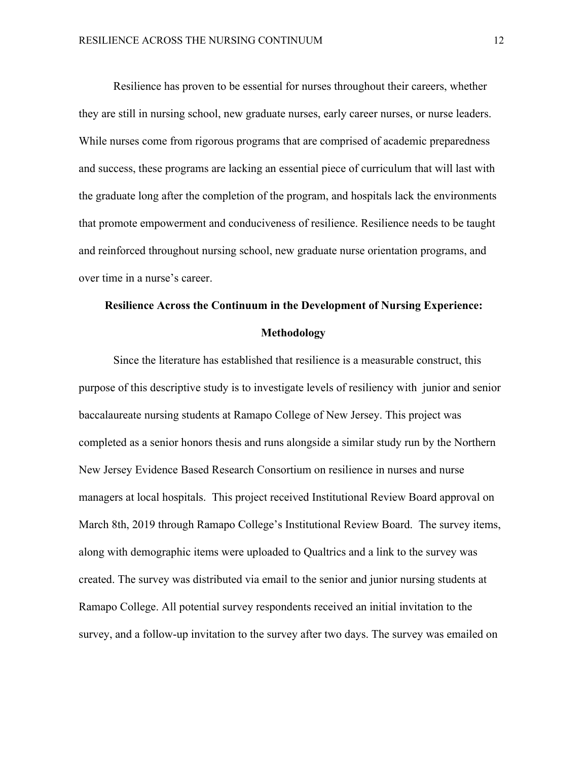Resilience has proven to be essential for nurses throughout their careers, whether they are still in nursing school, new graduate nurses, early career nurses, or nurse leaders. While nurses come from rigorous programs that are comprised of academic preparedness and success, these programs are lacking an essential piece of curriculum that will last with the graduate long after the completion of the program, and hospitals lack the environments that promote empowerment and conduciveness of resilience. Resilience needs to be taught and reinforced throughout nursing school, new graduate nurse orientation programs, and over time in a nurse's career.

## **Resilience Across the Continuum in the Development of Nursing Experience: Methodology**

Since the literature has established that resilience is a measurable construct, this purpose of this descriptive study is to investigate levels of resiliency with junior and senior baccalaureate nursing students at Ramapo College of New Jersey. This project was completed as a senior honors thesis and runs alongside a similar study run by the Northern New Jersey Evidence Based Research Consortium on resilience in nurses and nurse managers at local hospitals. This project received Institutional Review Board approval on March 8th, 2019 through Ramapo College's Institutional Review Board. The survey items, along with demographic items were uploaded to Qualtrics and a link to the survey was created. The survey was distributed via email to the senior and junior nursing students at Ramapo College. All potential survey respondents received an initial invitation to the survey, and a follow-up invitation to the survey after two days. The survey was emailed on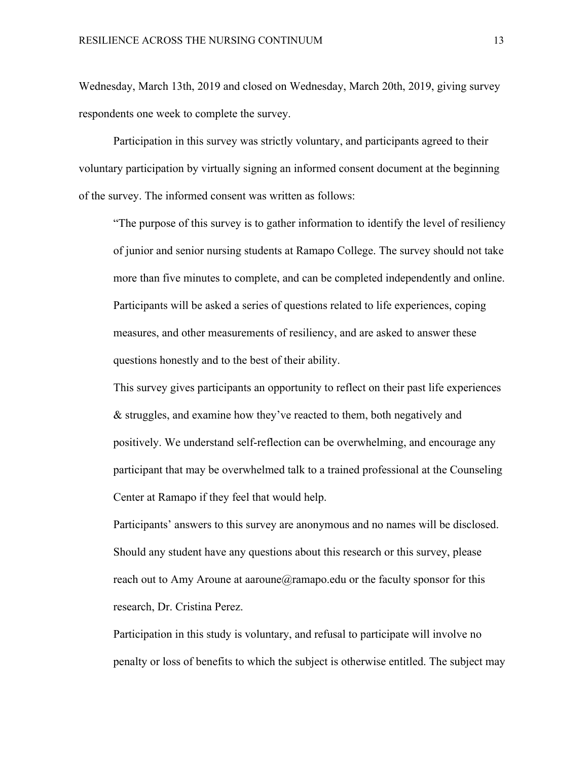Wednesday, March 13th, 2019 and closed on Wednesday, March 20th, 2019, giving survey respondents one week to complete the survey.

Participation in this survey was strictly voluntary, and participants agreed to their voluntary participation by virtually signing an informed consent document at the beginning of the survey. The informed consent was written as follows:

"The purpose of this survey is to gather information to identify the level of resiliency of junior and senior nursing students at Ramapo College. The survey should not take more than five minutes to complete, and can be completed independently and online. Participants will be asked a series of questions related to life experiences, coping measures, and other measurements of resiliency, and are asked to answer these questions honestly and to the best of their ability.

This survey gives participants an opportunity to reflect on their past life experiences & struggles, and examine how they've reacted to them, both negatively and positively. We understand self-reflection can be overwhelming, and encourage any participant that may be overwhelmed talk to a trained professional at the Counseling Center at Ramapo if they feel that would help.

Participants' answers to this survey are anonymous and no names will be disclosed. Should any student have any questions about this research or this survey, please reach out to Amy Aroune at aaroune  $\widehat{a}$  ramapo.edu or the faculty sponsor for this research, Dr. Cristina Perez.

Participation in this study is voluntary, and refusal to participate will involve no penalty or loss of benefits to which the subject is otherwise entitled. The subject may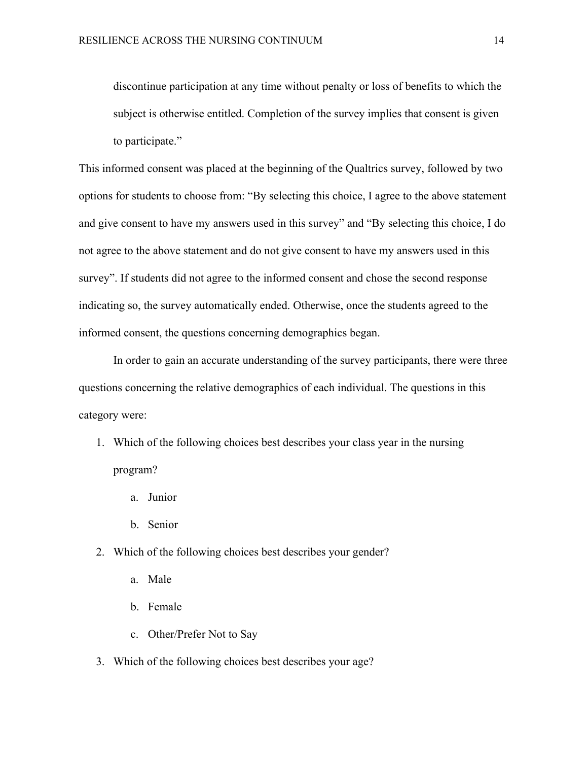discontinue participation at any time without penalty or loss of benefits to which the subject is otherwise entitled. Completion of the survey implies that consent is given to participate."

This informed consent was placed at the beginning of the Qualtrics survey, followed by two options for students to choose from: "By selecting this choice, I agree to the above statement and give consent to have my answers used in this survey" and "By selecting this choice, I do not agree to the above statement and do not give consent to have my answers used in this survey". If students did not agree to the informed consent and chose the second response indicating so, the survey automatically ended. Otherwise, once the students agreed to the informed consent, the questions concerning demographics began.

In order to gain an accurate understanding of the survey participants, there were three questions concerning the relative demographics of each individual. The questions in this category were:

- 1. Which of the following choices best describes your class year in the nursing program?
	- a. Junior
	- b. Senior
- 2. Which of the following choices best describes your gender?
	- a. Male
	- b. Female
	- c. Other/Prefer Not to Say
- 3. Which of the following choices best describes your age?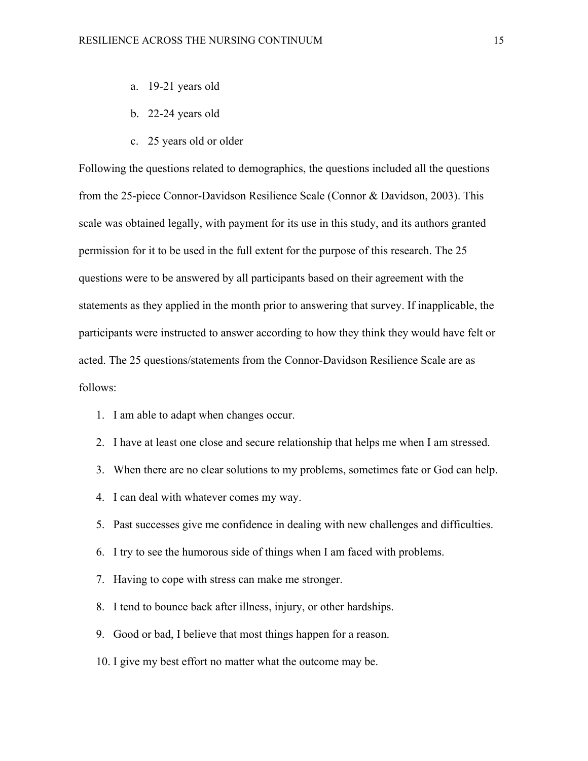- a. 19-21 years old
- b. 22-24 years old
- c. 25 years old or older

Following the questions related to demographics, the questions included all the questions from the 25-piece Connor-Davidson Resilience Scale (Connor & Davidson, 2003). This scale was obtained legally, with payment for its use in this study, and its authors granted permission for it to be used in the full extent for the purpose of this research. The 25 questions were to be answered by all participants based on their agreement with the statements as they applied in the month prior to answering that survey. If inapplicable, the participants were instructed to answer according to how they think they would have felt or acted. The 25 questions/statements from the Connor-Davidson Resilience Scale are as follows:

- 1. I am able to adapt when changes occur.
- 2. I have at least one close and secure relationship that helps me when I am stressed.
- 3. When there are no clear solutions to my problems, sometimes fate or God can help.
- 4. I can deal with whatever comes my way.
- 5. Past successes give me confidence in dealing with new challenges and difficulties.
- 6. I try to see the humorous side of things when I am faced with problems.
- 7. Having to cope with stress can make me stronger.
- 8. I tend to bounce back after illness, injury, or other hardships.
- 9. Good or bad, I believe that most things happen for a reason.
- 10. I give my best effort no matter what the outcome may be.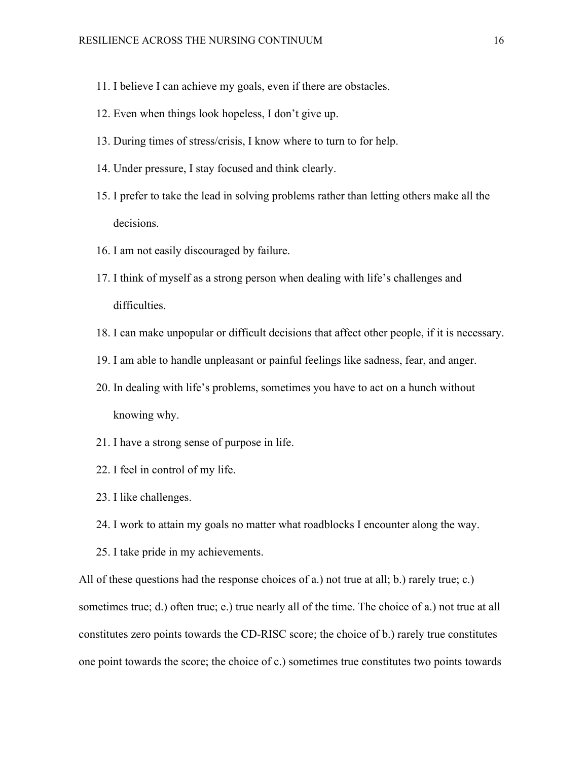- 11. I believe I can achieve my goals, even if there are obstacles.
- 12. Even when things look hopeless, I don't give up.
- 13. During times of stress/crisis, I know where to turn to for help.
- 14. Under pressure, I stay focused and think clearly.
- 15. I prefer to take the lead in solving problems rather than letting others make all the decisions.
- 16. I am not easily discouraged by failure.
- 17. I think of myself as a strong person when dealing with life's challenges and difficulties.
- 18. I can make unpopular or difficult decisions that affect other people, if it is necessary.
- 19. I am able to handle unpleasant or painful feelings like sadness, fear, and anger.
- 20. In dealing with life's problems, sometimes you have to act on a hunch without knowing why.
- 21. I have a strong sense of purpose in life.
- 22. I feel in control of my life.
- 23. I like challenges.
- 24. I work to attain my goals no matter what roadblocks I encounter along the way.
- 25. I take pride in my achievements.

All of these questions had the response choices of a.) not true at all; b.) rarely true; c.) sometimes true; d.) often true; e.) true nearly all of the time. The choice of a.) not true at all constitutes zero points towards the CD-RISC score; the choice of b.) rarely true constitutes one point towards the score; the choice of c.) sometimes true constitutes two points towards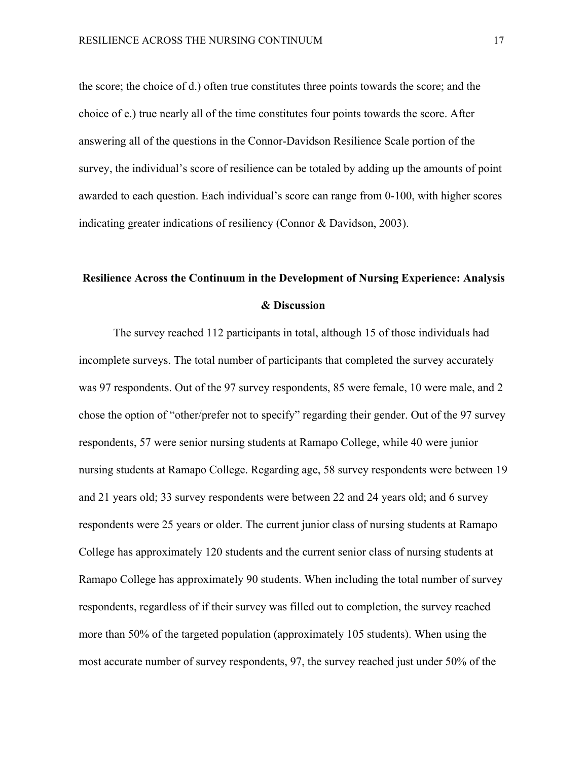the score; the choice of d.) often true constitutes three points towards the score; and the choice of e.) true nearly all of the time constitutes four points towards the score. After answering all of the questions in the Connor-Davidson Resilience Scale portion of the survey, the individual's score of resilience can be totaled by adding up the amounts of point awarded to each question. Each individual's score can range from 0-100, with higher scores indicating greater indications of resiliency (Connor & Davidson, 2003).

### **Resilience Across the Continuum in the Development of Nursing Experience: Analysis & Discussion**

The survey reached 112 participants in total, although 15 of those individuals had incomplete surveys. The total number of participants that completed the survey accurately was 97 respondents. Out of the 97 survey respondents, 85 were female, 10 were male, and 2 chose the option of "other/prefer not to specify" regarding their gender. Out of the 97 survey respondents, 57 were senior nursing students at Ramapo College, while 40 were junior nursing students at Ramapo College. Regarding age, 58 survey respondents were between 19 and 21 years old; 33 survey respondents were between 22 and 24 years old; and 6 survey respondents were 25 years or older. The current junior class of nursing students at Ramapo College has approximately 120 students and the current senior class of nursing students at Ramapo College has approximately 90 students. When including the total number of survey respondents, regardless of if their survey was filled out to completion, the survey reached more than 50% of the targeted population (approximately 105 students). When using the most accurate number of survey respondents, 97, the survey reached just under 50% of the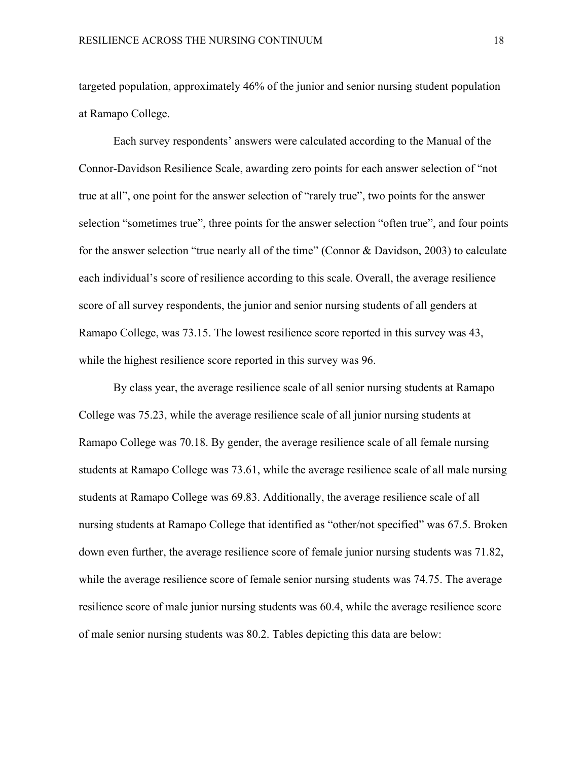targeted population, approximately 46% of the junior and senior nursing student population at Ramapo College.

Each survey respondents' answers were calculated according to the Manual of the Connor-Davidson Resilience Scale, awarding zero points for each answer selection of "not true at all", one point for the answer selection of "rarely true", two points for the answer selection "sometimes true", three points for the answer selection "often true", and four points for the answer selection "true nearly all of the time" (Connor & Davidson, 2003) to calculate each individual's score of resilience according to this scale. Overall, the average resilience score of all survey respondents, the junior and senior nursing students of all genders at Ramapo College, was 73.15. The lowest resilience score reported in this survey was 43, while the highest resilience score reported in this survey was 96.

By class year, the average resilience scale of all senior nursing students at Ramapo College was 75.23, while the average resilience scale of all junior nursing students at Ramapo College was 70.18. By gender, the average resilience scale of all female nursing students at Ramapo College was 73.61, while the average resilience scale of all male nursing students at Ramapo College was 69.83. Additionally, the average resilience scale of all nursing students at Ramapo College that identified as "other/not specified" was 67.5. Broken down even further, the average resilience score of female junior nursing students was 71.82, while the average resilience score of female senior nursing students was 74.75. The average resilience score of male junior nursing students was 60.4, while the average resilience score of male senior nursing students was 80.2. Tables depicting this data are below: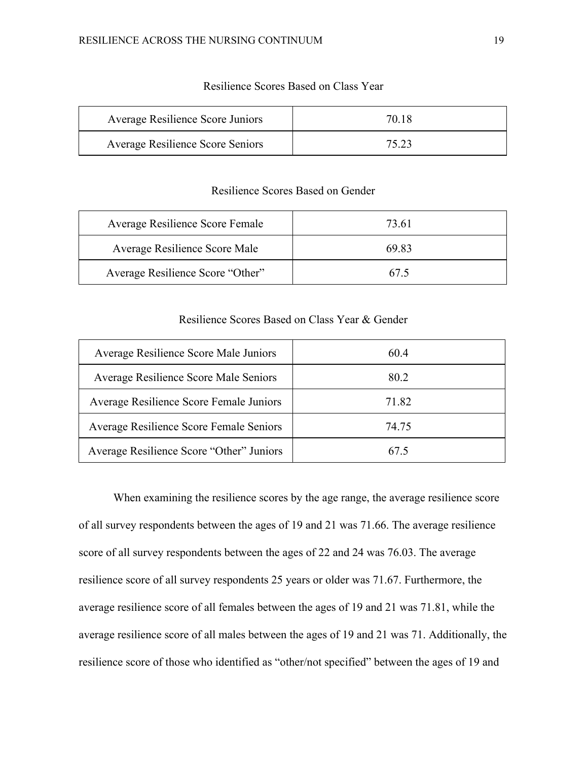| Average Resilience Score Juniors        | 70 18 |
|-----------------------------------------|-------|
| <b>Average Resilience Score Seniors</b> | 75 23 |

### Resilience Scores Based on Class Year

### Resilience Scores Based on Gender

| Average Resilience Score Female  | 73.61 |
|----------------------------------|-------|
| Average Resilience Score Male    | 69.83 |
| Average Resilience Score "Other" | 67.5  |

### Resilience Scores Based on Class Year & Gender

| Average Resilience Score Male Juniors    | 604   |
|------------------------------------------|-------|
| Average Resilience Score Male Seniors    | 80.2  |
| Average Resilience Score Female Juniors  | 71.82 |
| Average Resilience Score Female Seniors  | 74 75 |
| Average Resilience Score "Other" Juniors | 67.5  |

When examining the resilience scores by the age range, the average resilience score of all survey respondents between the ages of 19 and 21 was 71.66. The average resilience score of all survey respondents between the ages of 22 and 24 was 76.03. The average resilience score of all survey respondents 25 years or older was 71.67. Furthermore, the average resilience score of all females between the ages of 19 and 21 was 71.81, while the average resilience score of all males between the ages of 19 and 21 was 71. Additionally, the resilience score of those who identified as "other/not specified" between the ages of 19 and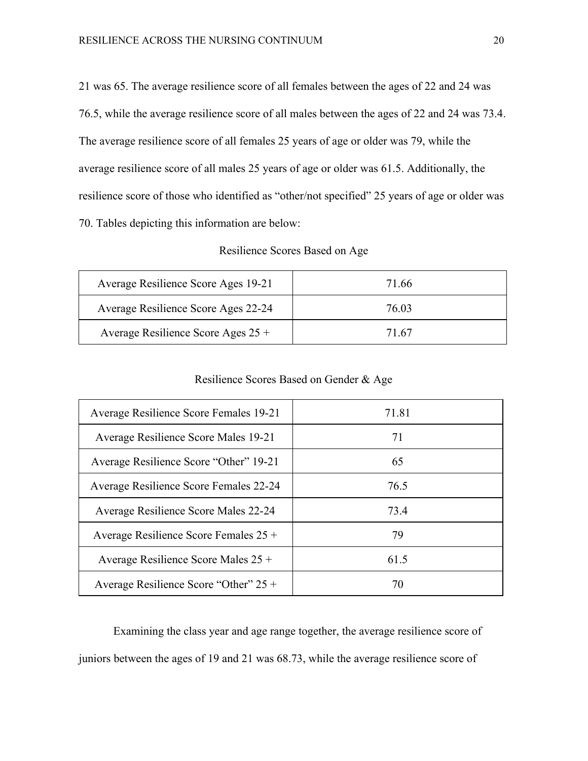21 was 65. The average resilience score of all females between the ages of 22 and 24 was 76.5, while the average resilience score of all males between the ages of 22 and 24 was 73.4. The average resilience score of all females 25 years of age or older was 79, while the average resilience score of all males 25 years of age or older was 61.5. Additionally, the resilience score of those who identified as "other/not specified" 25 years of age or older was 70. Tables depicting this information are below:

Resilience Scores Based on Age

| Average Resilience Score Ages 19-21 | 71.66 |
|-------------------------------------|-------|
| Average Resilience Score Ages 22-24 | 76.03 |
| Average Resilience Score Ages 25 +  | 71.67 |

Resilience Scores Based on Gender & Age

| Average Resilience Score Females 19-21  | 71.81 |
|-----------------------------------------|-------|
| Average Resilience Score Males 19-21    | 71    |
| Average Resilience Score "Other" 19-21  | 65    |
| Average Resilience Score Females 22-24  | 76.5  |
| Average Resilience Score Males 22-24    | 73.4  |
| Average Resilience Score Females 25 +   | 79    |
| Average Resilience Score Males 25 +     | 61.5  |
| Average Resilience Score "Other" $25 +$ | 70    |

Examining the class year and age range together, the average resilience score of juniors between the ages of 19 and 21 was 68.73, while the average resilience score of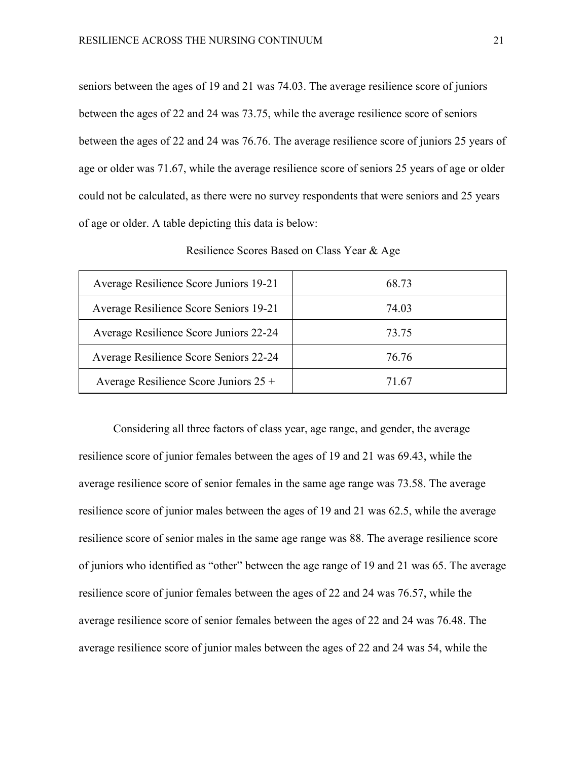seniors between the ages of 19 and 21 was 74.03. The average resilience score of juniors between the ages of 22 and 24 was 73.75, while the average resilience score of seniors between the ages of 22 and 24 was 76.76. The average resilience score of juniors 25 years of age or older was 71.67, while the average resilience score of seniors 25 years of age or older could not be calculated, as there were no survey respondents that were seniors and 25 years of age or older. A table depicting this data is below:

| Average Resilience Score Juniors 19-21  | 68.73 |
|-----------------------------------------|-------|
| Average Resilience Score Seniors 19-21  | 74.03 |
| Average Resilience Score Juniors 22-24  | 73.75 |
| Average Resilience Score Seniors 22-24  | 76.76 |
| Average Resilience Score Juniors $25 +$ | 71.67 |

Resilience Scores Based on Class Year & Age

Considering all three factors of class year, age range, and gender, the average resilience score of junior females between the ages of 19 and 21 was 69.43, while the average resilience score of senior females in the same age range was 73.58. The average resilience score of junior males between the ages of 19 and 21 was 62.5, while the average resilience score of senior males in the same age range was 88. The average resilience score of juniors who identified as "other" between the age range of 19 and 21 was 65. The average resilience score of junior females between the ages of 22 and 24 was 76.57, while the average resilience score of senior females between the ages of 22 and 24 was 76.48. The average resilience score of junior males between the ages of 22 and 24 was 54, while the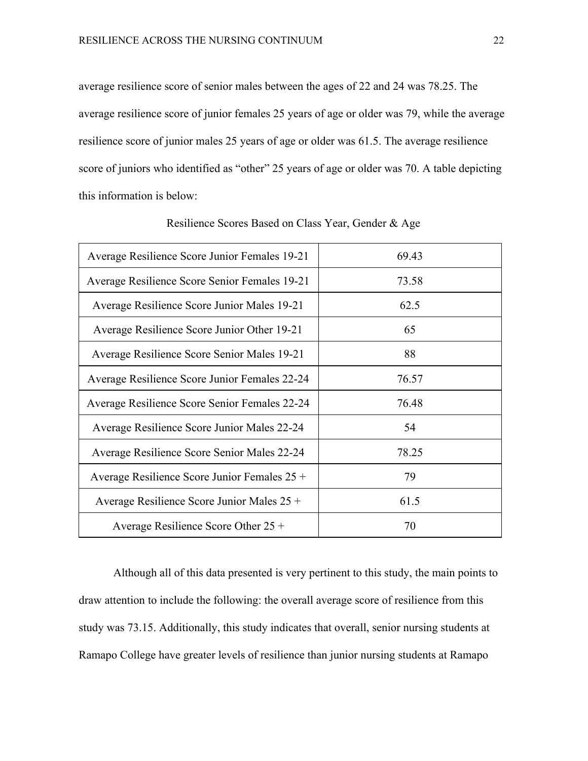average resilience score of senior males between the ages of 22 and 24 was 78.25. The average resilience score of junior females 25 years of age or older was 79, while the average resilience score of junior males 25 years of age or older was 61.5. The average resilience score of juniors who identified as "other" 25 years of age or older was 70. A table depicting this information is below:

| Average Resilience Score Junior Females 19-21 | 69.43 |
|-----------------------------------------------|-------|
| Average Resilience Score Senior Females 19-21 | 73.58 |
| Average Resilience Score Junior Males 19-21   | 62.5  |
| Average Resilience Score Junior Other 19-21   | 65    |
| Average Resilience Score Senior Males 19-21   | 88    |
| Average Resilience Score Junior Females 22-24 | 76.57 |
| Average Resilience Score Senior Females 22-24 | 76.48 |
| Average Resilience Score Junior Males 22-24   | 54    |
| Average Resilience Score Senior Males 22-24   | 78.25 |
| Average Resilience Score Junior Females 25 +  | 79    |
| Average Resilience Score Junior Males 25 +    | 61.5  |
| Average Resilience Score Other $25 +$         | 70    |

Resilience Scores Based on Class Year, Gender & Age

Although all of this data presented is very pertinent to this study, the main points to draw attention to include the following: the overall average score of resilience from this study was 73.15. Additionally, this study indicates that overall, senior nursing students at Ramapo College have greater levels of resilience than junior nursing students at Ramapo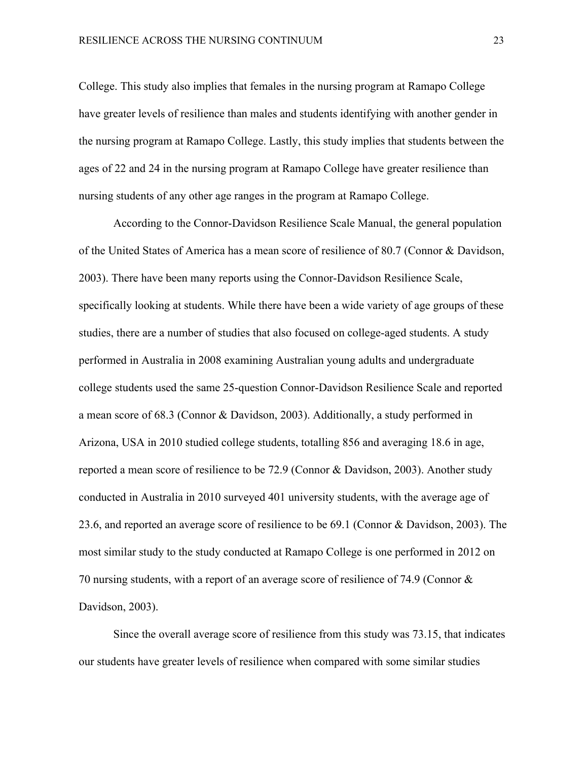College. This study also implies that females in the nursing program at Ramapo College have greater levels of resilience than males and students identifying with another gender in the nursing program at Ramapo College. Lastly, this study implies that students between the ages of 22 and 24 in the nursing program at Ramapo College have greater resilience than nursing students of any other age ranges in the program at Ramapo College.

According to the Connor-Davidson Resilience Scale Manual, the general population of the United States of America has a mean score of resilience of 80.7 (Connor & Davidson, 2003). There have been many reports using the Connor-Davidson Resilience Scale, specifically looking at students. While there have been a wide variety of age groups of these studies, there are a number of studies that also focused on college-aged students. A study performed in Australia in 2008 examining Australian young adults and undergraduate college students used the same 25-question Connor-Davidson Resilience Scale and reported a mean score of 68.3 (Connor & Davidson, 2003). Additionally, a study performed in Arizona, USA in 2010 studied college students, totalling 856 and averaging 18.6 in age, reported a mean score of resilience to be 72.9 (Connor & Davidson, 2003). Another study conducted in Australia in 2010 surveyed 401 university students, with the average age of 23.6, and reported an average score of resilience to be 69.1 (Connor & Davidson, 2003). The most similar study to the study conducted at Ramapo College is one performed in 2012 on 70 nursing students, with a report of an average score of resilience of 74.9 (Connor & Davidson, 2003).

Since the overall average score of resilience from this study was 73.15, that indicates our students have greater levels of resilience when compared with some similar studies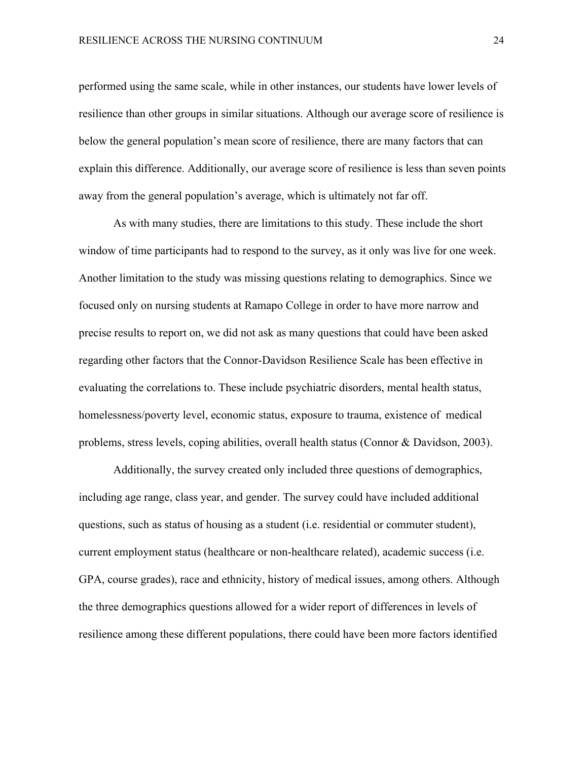performed using the same scale, while in other instances, our students have lower levels of resilience than other groups in similar situations. Although our average score of resilience is below the general population's mean score of resilience, there are many factors that can explain this difference. Additionally, our average score of resilience is less than seven points away from the general population's average, which is ultimately not far off.

As with many studies, there are limitations to this study. These include the short window of time participants had to respond to the survey, as it only was live for one week. Another limitation to the study was missing questions relating to demographics. Since we focused only on nursing students at Ramapo College in order to have more narrow and precise results to report on, we did not ask as many questions that could have been asked regarding other factors that the Connor-Davidson Resilience Scale has been effective in evaluating the correlations to. These include psychiatric disorders, mental health status, homelessness/poverty level, economic status, exposure to trauma, existence of medical problems, stress levels, coping abilities, overall health status (Connor & Davidson, 2003).

Additionally, the survey created only included three questions of demographics, including age range, class year, and gender. The survey could have included additional questions, such as status of housing as a student (i.e. residential or commuter student), current employment status (healthcare or non-healthcare related), academic success (i.e. GPA, course grades), race and ethnicity, history of medical issues, among others. Although the three demographics questions allowed for a wider report of differences in levels of resilience among these different populations, there could have been more factors identified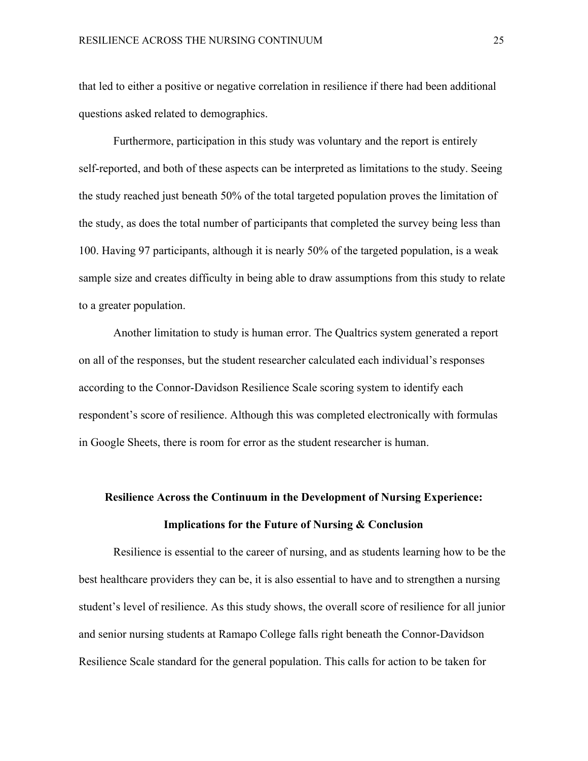that led to either a positive or negative correlation in resilience if there had been additional questions asked related to demographics.

Furthermore, participation in this study was voluntary and the report is entirely self-reported, and both of these aspects can be interpreted as limitations to the study. Seeing the study reached just beneath 50% of the total targeted population proves the limitation of the study, as does the total number of participants that completed the survey being less than 100. Having 97 participants, although it is nearly 50% of the targeted population, is a weak sample size and creates difficulty in being able to draw assumptions from this study to relate to a greater population.

Another limitation to study is human error. The Qualtrics system generated a report on all of the responses, but the student researcher calculated each individual's responses according to the Connor-Davidson Resilience Scale scoring system to identify each respondent's score of resilience. Although this was completed electronically with formulas in Google Sheets, there is room for error as the student researcher is human.

# **Resilience Across the Continuum in the Development of Nursing Experience: Implications for the Future of Nursing & Conclusion**

Resilience is essential to the career of nursing, and as students learning how to be the best healthcare providers they can be, it is also essential to have and to strengthen a nursing student's level of resilience. As this study shows, the overall score of resilience for all junior and senior nursing students at Ramapo College falls right beneath the Connor-Davidson Resilience Scale standard for the general population. This calls for action to be taken for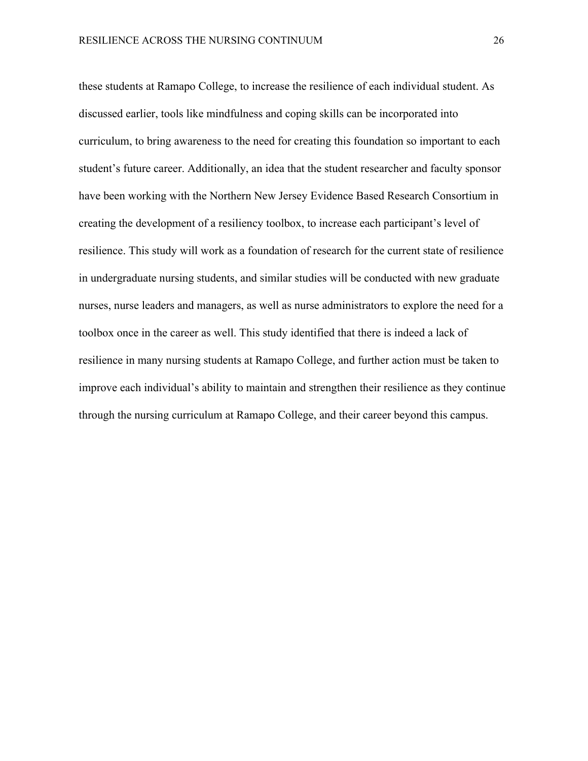these students at Ramapo College, to increase the resilience of each individual student. As discussed earlier, tools like mindfulness and coping skills can be incorporated into curriculum, to bring awareness to the need for creating this foundation so important to each student's future career. Additionally, an idea that the student researcher and faculty sponsor have been working with the Northern New Jersey Evidence Based Research Consortium in creating the development of a resiliency toolbox, to increase each participant's level of resilience. This study will work as a foundation of research for the current state of resilience in undergraduate nursing students, and similar studies will be conducted with new graduate nurses, nurse leaders and managers, as well as nurse administrators to explore the need for a toolbox once in the career as well. This study identified that there is indeed a lack of resilience in many nursing students at Ramapo College, and further action must be taken to improve each individual's ability to maintain and strengthen their resilience as they continue through the nursing curriculum at Ramapo College, and their career beyond this campus.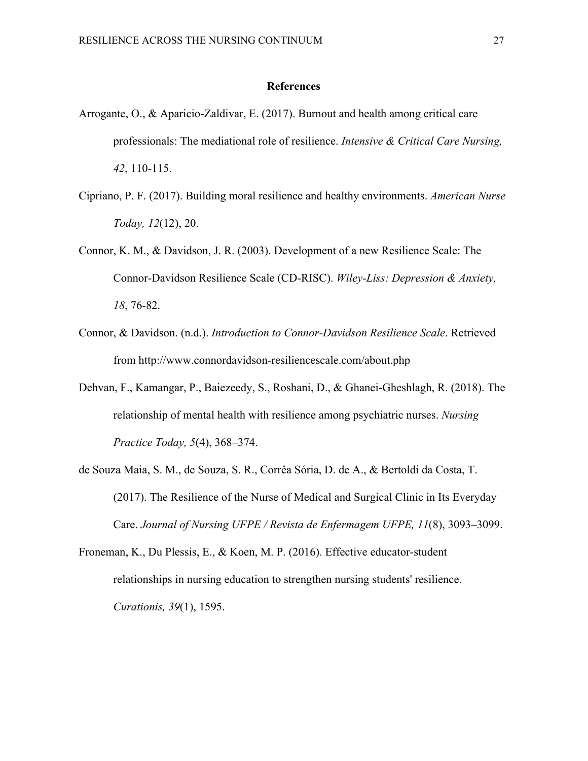### **References**

- Arrogante, O., & Aparicio-Zaldivar, E. (2017). Burnout and health among critical care professionals: The mediational role of resilience. *Intensive & Critical Care Nursing, 42*, 110-115.
- Cipriano, P. F. (2017). Building moral resilience and healthy environments. *American Nurse Today, 12*(12), 20.
- Connor, K. M., & Davidson, J. R. (2003). Development of a new Resilience Scale: The Connor-Davidson Resilience Scale (CD-RISC). *Wiley-Liss: Depression & Anxiety, 18*, 76-82.
- Connor, & Davidson. (n.d.). *Introduction to Connor-Davidson Resilience Scale*. Retrieved from http://www.connordavidson-resiliencescale.com/about.php
- Dehvan, F., Kamangar, P., Baiezeedy, S., Roshani, D., & Ghanei-Gheshlagh, R. (2018). The relationship of mental health with resilience among psychiatric nurses. *Nursing Practice Today, 5*(4), 368–374.
- de Souza Maia, S. M., de Souza, S. R., Corrêa Sória, D. de A., & Bertoldi da Costa, T. (2017). The Resilience of the Nurse of Medical and Surgical Clinic in Its Everyday Care. *Journal of Nursing UFPE / Revista de Enfermagem UFPE, 11*(8), 3093–3099.
- Froneman, K., Du Plessis, E., & Koen, M. P. (2016). Effective educator-student relationships in nursing education to strengthen nursing students' resilience. *Curationis, 39*(1), 1595.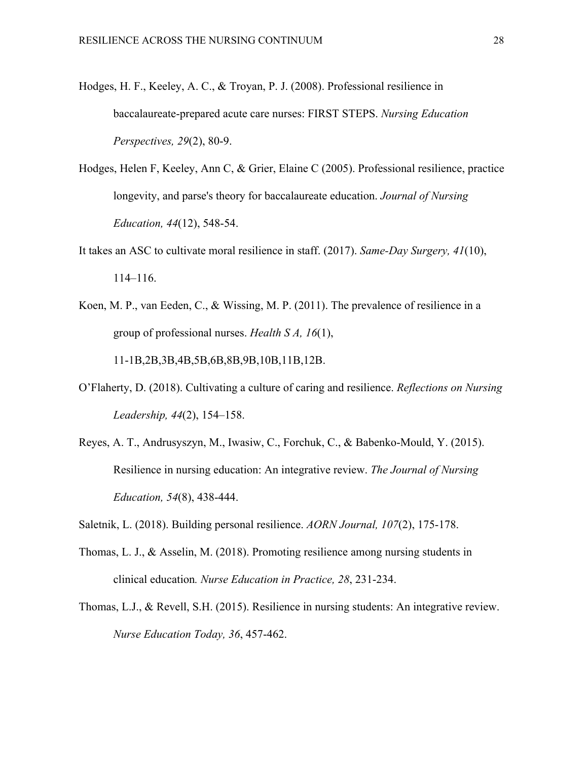- Hodges, H. F., Keeley, A. C., & Troyan, P. J. (2008). Professional resilience in baccalaureate-prepared acute care nurses: FIRST STEPS. *Nursing Education Perspectives, 29*(2), 80-9.
- Hodges, Helen F, Keeley, Ann C, & Grier, Elaine C (2005). Professional resilience, practice longevity, and parse's theory for baccalaureate education. *Journal of Nursing Education, 44*(12), 548-54.
- It takes an ASC to cultivate moral resilience in staff. (2017). *Same-Day Surgery, 41*(10), 114–116.
- Koen, M. P., van Eeden, C., & Wissing, M. P. (2011). The prevalence of resilience in a group of professional nurses. *Health S A, 16*(1), 11-1B,2B,3B,4B,5B,6B,8B,9B,10B,11B,12B.
- O'Flaherty, D. (2018). Cultivating a culture of caring and resilience. *Reflections on Nursing Leadership, 44*(2), 154–158.
- Reyes, A. T., Andrusyszyn, M., Iwasiw, C., Forchuk, C., & Babenko-Mould, Y. (2015). Resilience in nursing education: An integrative review. *The Journal of Nursing Education, 54*(8), 438-444.
- Saletnik, L. (2018). Building personal resilience. *AORN Journal, 107*(2), 175-178.
- Thomas, L. J., & Asselin, M. (2018). Promoting resilience among nursing students in clinical education*. Nurse Education in Practice, 28*, 231-234.
- Thomas, L.J., & Revell, S.H. (2015). Resilience in nursing students: An integrative review. *Nurse Education Today, 36*, 457-462.